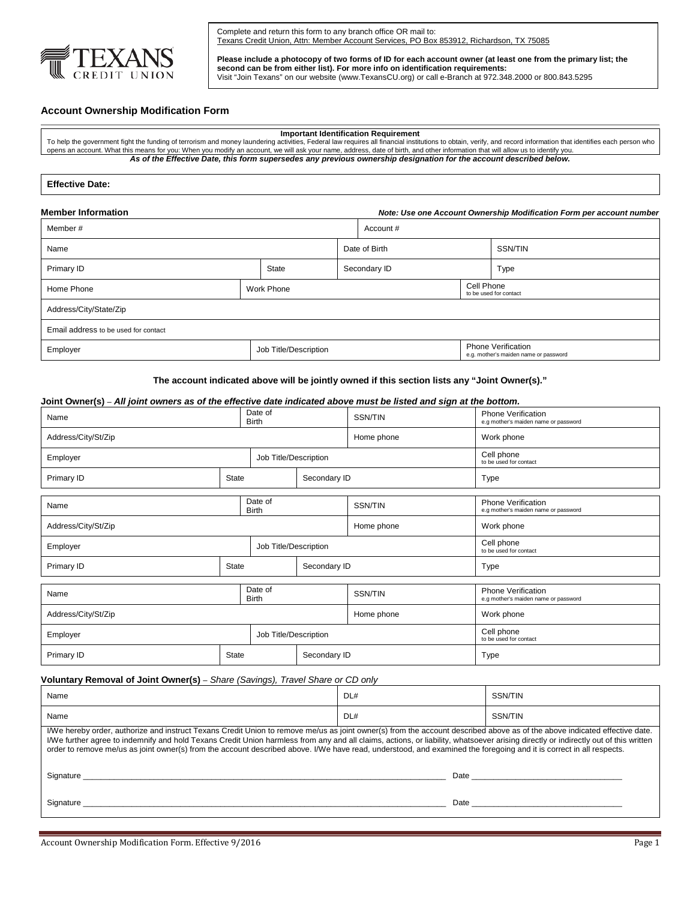

Complete and return this form to any branch office OR mail to: Texans Credit Union, Attn: Member Account Services, PO Box 853912, Richardson, TX 75085

**Please include a photocopy of two forms of ID for each account owner (at least one from the primary list; the second can be from either list). For more info on identification requirements:** Visit "Join Texans" on our website (www.TexansCU.org) or call e-Branch at 972.348.2000 or 800.843.5295

# **Account Ownership Modification Form**

### **Important Identification Requirement**

To help the government fight the funding of terrorism and money laundering activities, Federal law requires all financial institutions to obtain, verify, and record information that identifies each person who<br>opens an acco *As of the Effective Date, this form supersedes any previous ownership designation for the account described below.*

### **Effective Date:**

| <b>Member Information</b><br>Note: Use one Account Ownership Modification Form per account number |  |                       |               |           |  |                                                                    |  |
|---------------------------------------------------------------------------------------------------|--|-----------------------|---------------|-----------|--|--------------------------------------------------------------------|--|
| Member#                                                                                           |  |                       |               | Account # |  |                                                                    |  |
| Name                                                                                              |  |                       | Date of Birth |           |  | <b>SSN/TIN</b>                                                     |  |
| Primary ID                                                                                        |  | State                 | Secondary ID  |           |  | Type                                                               |  |
| Home Phone                                                                                        |  | <b>Work Phone</b>     |               |           |  | Cell Phone<br>to be used for contact                               |  |
| Address/City/State/Zip                                                                            |  |                       |               |           |  |                                                                    |  |
| Email address to be used for contact                                                              |  |                       |               |           |  |                                                                    |  |
| Employer                                                                                          |  | Job Title/Description |               |           |  | <b>Phone Verification</b><br>e.g. mother's maiden name or password |  |

**The account indicated above will be jointly owned if this section lists any "Joint Owner(s)."**

### **Joint Owner(s)** – *All joint owners as of the effective date indicated above must be listed and sign at the bottom.*

| Name                              |                         | Date of<br><b>Birth</b> |              | SSN/TIN    | Phone Verification<br>e.g mother's maiden name or password        |
|-----------------------------------|-------------------------|-------------------------|--------------|------------|-------------------------------------------------------------------|
| Address/City/St/Zip               |                         |                         |              | Home phone | Work phone                                                        |
| Job Title/Description<br>Employer |                         |                         |              |            | Cell phone<br>to be used for contact                              |
| Primary ID                        | State                   | Secondary ID            |              |            | Type                                                              |
| Name                              | Date of<br><b>Birth</b> |                         |              | SSN/TIN    | <b>Phone Verification</b><br>e.g mother's maiden name or password |
| Address/City/St/Zip               |                         |                         |              | Home phone | Work phone                                                        |
| Job Title/Description<br>Employer |                         |                         |              |            | Cell phone<br>to be used for contact                              |
| Primary ID                        | State                   |                         | Secondary ID |            | Type                                                              |
| Name                              |                         | Date of<br><b>Birth</b> |              | SSN/TIN    | <b>Phone Verification</b><br>e.g mother's maiden name or password |
| Address/City/St/Zip               |                         |                         |              | Home phone | Work phone                                                        |
| Job Title/Description<br>Employer |                         |                         |              |            | Cell phone<br>to be used for contact                              |
| Primary ID                        | State                   |                         | Secondary ID |            | Type                                                              |

## **Voluntary Removal of Joint Owner(s)** – *Share (Savings), Travel Share or CD only*

| Name                                                                                                                                                                                                                                                                                                                                                                                                                                                                                                                                     | DL#  | SSN/TIN                                                                                                                                                                                                                        |  |  |  |
|------------------------------------------------------------------------------------------------------------------------------------------------------------------------------------------------------------------------------------------------------------------------------------------------------------------------------------------------------------------------------------------------------------------------------------------------------------------------------------------------------------------------------------------|------|--------------------------------------------------------------------------------------------------------------------------------------------------------------------------------------------------------------------------------|--|--|--|
| Name                                                                                                                                                                                                                                                                                                                                                                                                                                                                                                                                     | DL#  | SSN/TIN                                                                                                                                                                                                                        |  |  |  |
| I/We hereby order, authorize and instruct Texans Credit Union to remove me/us as joint owner(s) from the account described above as of the above indicated effective date.<br>I/We further agree to indemnify and hold Texans Credit Union harmless from any and all claims, actions, or liability, whatsoever arising directly or indirectly out of this written<br>order to remove me/us as joint owner(s) from the account described above. I/We have read, understood, and examined the foregoing and it is correct in all respects. |      |                                                                                                                                                                                                                                |  |  |  |
| Signature                                                                                                                                                                                                                                                                                                                                                                                                                                                                                                                                |      | Date and the contract of the contract of the contract of the contract of the contract of the contract of the contract of the contract of the contract of the contract of the contract of the contract of the contract of the c |  |  |  |
| Signature                                                                                                                                                                                                                                                                                                                                                                                                                                                                                                                                | Date |                                                                                                                                                                                                                                |  |  |  |